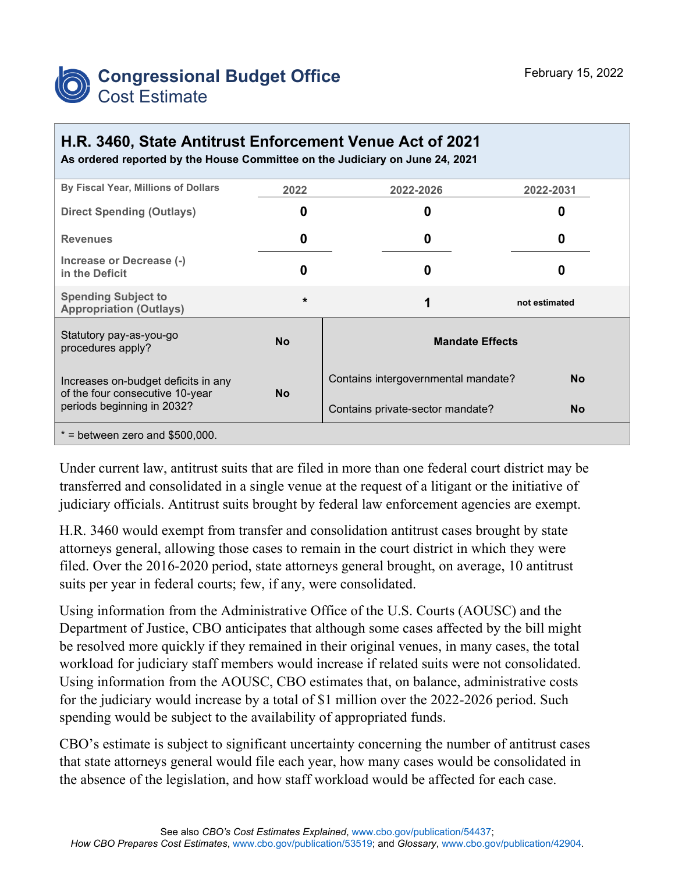

## **H.R. 3460, State Antitrust Enforcement Venue Act of 2021**

**As ordered reported by the House Committee on the Judiciary on June 24, 2021**

| By Fiscal Year, Millions of Dollars                                                                  | 2022      | 2022-2026                           | 2022-2031     |
|------------------------------------------------------------------------------------------------------|-----------|-------------------------------------|---------------|
| <b>Direct Spending (Outlays)</b>                                                                     | 0         | 0                                   |               |
| <b>Revenues</b>                                                                                      | 0         | 0                                   | O             |
| Increase or Decrease (-)<br>in the Deficit                                                           | 0         | 0                                   |               |
| <b>Spending Subject to</b><br><b>Appropriation (Outlays)</b>                                         | $\star$   | 1                                   | not estimated |
| Statutory pay-as-you-go<br>procedures apply?                                                         | <b>No</b> | <b>Mandate Effects</b>              |               |
| Increases on-budget deficits in any<br>of the four consecutive 10-year<br>periods beginning in 2032? | <b>No</b> | Contains intergovernmental mandate? | <b>No</b>     |
|                                                                                                      |           | Contains private-sector mandate?    | <b>No</b>     |
| $*$ = between zero and \$500,000.                                                                    |           |                                     |               |

Under current law, antitrust suits that are filed in more than one federal court district may be transferred and consolidated in a single venue at the request of a litigant or the initiative of judiciary officials. Antitrust suits brought by federal law enforcement agencies are exempt.

H.R. 3460 would exempt from transfer and consolidation antitrust cases brought by state attorneys general, allowing those cases to remain in the court district in which they were filed. Over the 2016-2020 period, state attorneys general brought, on average, 10 antitrust suits per year in federal courts; few, if any, were consolidated.

Using information from the Administrative Office of the U.S. Courts (AOUSC) and the Department of Justice, CBO anticipates that although some cases affected by the bill might be resolved more quickly if they remained in their original venues, in many cases, the total workload for judiciary staff members would increase if related suits were not consolidated. Using information from the AOUSC, CBO estimates that, on balance, administrative costs for the judiciary would increase by a total of \$1 million over the 2022-2026 period. Such spending would be subject to the availability of appropriated funds.

CBO's estimate is subject to significant uncertainty concerning the number of antitrust cases that state attorneys general would file each year, how many cases would be consolidated in the absence of the legislation, and how staff workload would be affected for each case.